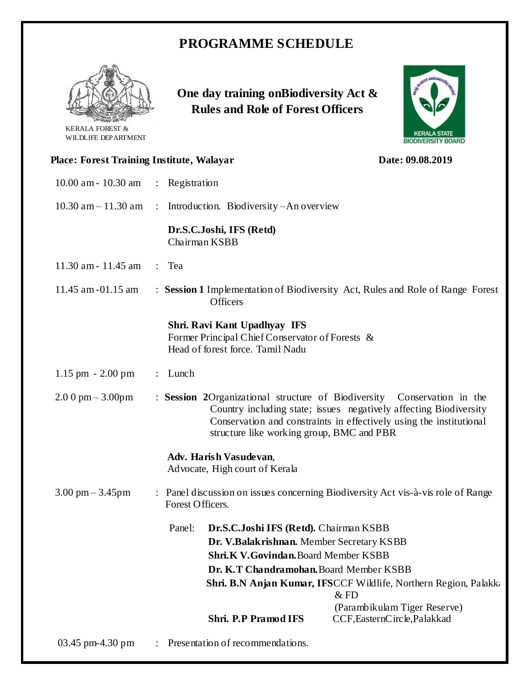## **PROGRAMME SCHEDULE**



KERALA FOREST & WILDLIFE DEPARTMENT **One day training onBiodiversity Act & Rules and Role of Forest Officers**



|                                                                  |                                         |                                                                                                                                                                                                                                                                  | <b>DIUDIVERSITT DUARD</b>                                                      |  |
|------------------------------------------------------------------|-----------------------------------------|------------------------------------------------------------------------------------------------------------------------------------------------------------------------------------------------------------------------------------------------------------------|--------------------------------------------------------------------------------|--|
| Place: Forest Training Institute, Walayar                        |                                         |                                                                                                                                                                                                                                                                  | Date: 09.08.2019                                                               |  |
| 10.00 am - 10.30 am                                              |                                         | : Registration                                                                                                                                                                                                                                                   |                                                                                |  |
| $10.30$ am $- 11.30$ am                                          |                                         | : Introduction. Biodiversity $-An$ overview                                                                                                                                                                                                                      |                                                                                |  |
|                                                                  |                                         | Dr.S.C.Joshi, IFS (Retd)<br>Chairman KSBB                                                                                                                                                                                                                        |                                                                                |  |
| 11.30 am - 11.45 am                                              |                                         | : Tea                                                                                                                                                                                                                                                            |                                                                                |  |
| 11.45 am -01.15 am                                               |                                         | <b>Officers</b>                                                                                                                                                                                                                                                  | : Session 1 Implementation of Biodiversity Act, Rules and Role of Range Forest |  |
|                                                                  |                                         | Shri. Ravi Kant Upadhyay IFS<br>Former Principal Chief Conservator of Forests &<br>Head of forest force. Tamil Nadu                                                                                                                                              |                                                                                |  |
| $1.15$ pm $- 2.00$ pm                                            |                                         | : Lunch                                                                                                                                                                                                                                                          |                                                                                |  |
| $2.00 \text{ pm} - 3.00 \text{pm}$                               |                                         | : Session 2Organizational structure of Biodiversity Conservation in the<br>Country including state; issues negatively affecting Biodiversity<br>Conservation and constraints in effectively using the institutional<br>structure like working group, BMC and PBR |                                                                                |  |
|                                                                  |                                         | Adv. Harish Vasudevan,<br>Advocate, High court of Kerala                                                                                                                                                                                                         |                                                                                |  |
| $3.00 \text{ pm} - 3.45 \text{pm}$                               |                                         | : Panel discussion on issues concerning Biodiversity Act vis-à-vis role of Range<br>Forest Officers.                                                                                                                                                             |                                                                                |  |
|                                                                  |                                         | Panel: Dr.S.C.Joshi IFS (Retd). Chairman KSBB                                                                                                                                                                                                                    |                                                                                |  |
|                                                                  |                                         | Dr. V.Balakrishnan. Member Secretary KSBB                                                                                                                                                                                                                        |                                                                                |  |
|                                                                  |                                         | Shri.K V.Govindan.Board Member KSBB                                                                                                                                                                                                                              |                                                                                |  |
|                                                                  | Dr. K.T Chandramohan. Board Member KSBB |                                                                                                                                                                                                                                                                  |                                                                                |  |
| Shri. B.N Anjan Kumar, IFSCCF Wildlife, Northern Region, Palakka |                                         |                                                                                                                                                                                                                                                                  |                                                                                |  |
|                                                                  |                                         |                                                                                                                                                                                                                                                                  | $&$ FD                                                                         |  |
|                                                                  |                                         | Shri. P.P Pramod IFS                                                                                                                                                                                                                                             | (Parambikulam Tiger Reserve)<br>CCF, EasternCircle, Palakkad                   |  |

03.45 pm-4.30 pm : Presentation of recommendations.